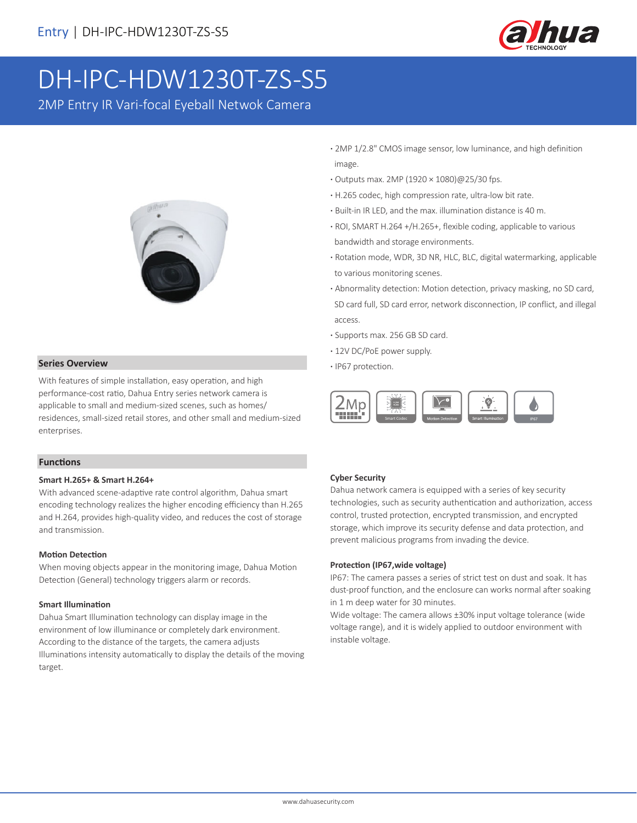

# DH-IPC-HDW1230T-ZS-S5

2MP Entry IR Vari-focal Eyeball Netwok Camera



**· Series Overview · <b>IP67** protection.

With features of simple installation, easy operation, and high performance-cost ratio, Dahua Entry series network camera is applicable to small and medium-sized scenes, such as homes/ residences, small-sized retail stores, and other small and medium-sized enterprises.

### **Functions**

### **Smart H.265+ & Smart H.264+**

With advanced scene-adaptive rate control algorithm, Dahua smart encoding technology realizes the higher encoding efficiency than H.265 and H.264, provides high-quality video, and reduces the cost of storage and transmission.

### **Motion Detection**

When moving objects appear in the monitoring image, Dahua Motion Detection (General) technology triggers alarm or records.

### **Smart Illumination**

Dahua Smart Illumination technology can display image in the environment of low illuminance or completely dark environment. According to the distance of the targets, the camera adjusts Illuminations intensity automatically to display the details of the moving target.

- **·** 2MP 1/2.8" CMOS image sensor, low luminance, and high definition image.
- **·** Outputs max. 2MP (1920 × 1080)@25/30 fps.
- **·** H.265 codec, high compression rate, ultra-low bit rate.
- **·** Built-in IR LED, and the max. illumination distance is 40 m.
- **·** ROI, SMART H.264 +/H.265+, flexible coding, applicable to various bandwidth and storage environments.
- **·** Rotation mode, WDR, 3D NR, HLC, BLC, digital watermarking, applicable to various monitoring scenes.
- **·** Abnormality detection: Motion detection, privacy masking, no SD card, SD card full, SD card error, network disconnection, IP conflict, and illegal access.
- **·** Supports max. 256 GB SD card.
- **·** 12V DC/PoE power supply.
- 



### **Cyber Security**

Dahua network camera is equipped with a series of key security technologies, such as security authentication and authorization, access control, trusted protection, encrypted transmission, and encrypted storage, which improve its security defense and data protection, and prevent malicious programs from invading the device.

### **Protection (IP67,wide voltage)**

IP67: The camera passes a series of strict test on dust and soak. It has dust-proof function, and the enclosure can works normal after soaking in 1 m deep water for 30 minutes.

Wide voltage: The camera allows ±30% input voltage tolerance (wide voltage range), and it is widely applied to outdoor environment with instable voltage.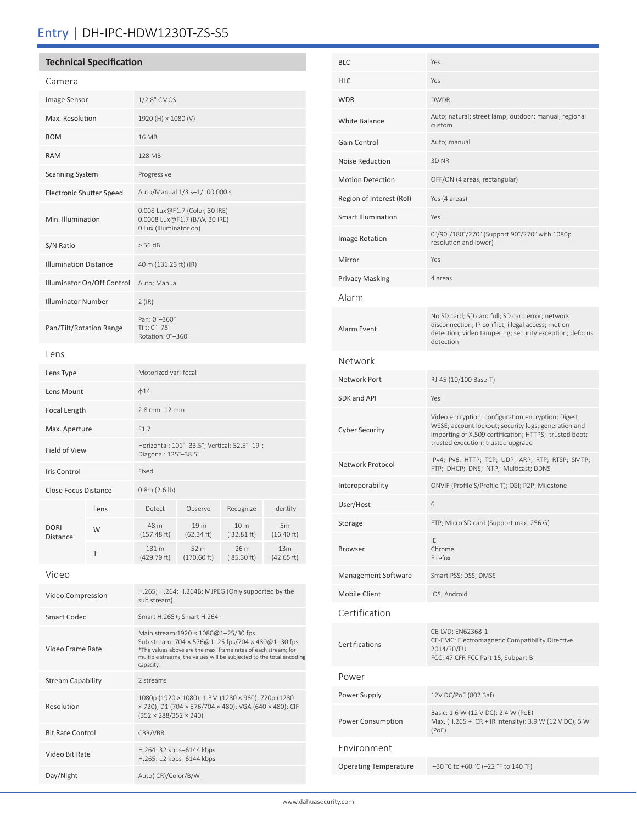## Entry | DH-IPC-HDW1230T-ZS-S5

| <b>Technical Specification</b> |      |                                                                                                                                                                                                                                                 |                     |                    |                               |  |
|--------------------------------|------|-------------------------------------------------------------------------------------------------------------------------------------------------------------------------------------------------------------------------------------------------|---------------------|--------------------|-------------------------------|--|
| Camera                         |      |                                                                                                                                                                                                                                                 |                     |                    |                               |  |
| Image Sensor                   |      | 1/2.8" CMOS                                                                                                                                                                                                                                     |                     |                    |                               |  |
| Max. Resolution                |      | 1920 (H) × 1080 (V)                                                                                                                                                                                                                             |                     |                    |                               |  |
| <b>ROM</b>                     |      | 16 MB                                                                                                                                                                                                                                           |                     |                    |                               |  |
| <b>RAM</b>                     |      | 128 MB                                                                                                                                                                                                                                          |                     |                    |                               |  |
| <b>Scanning System</b>         |      | Progressive                                                                                                                                                                                                                                     |                     |                    |                               |  |
| Electronic Shutter Speed       |      | Auto/Manual 1/3 s-1/100,000 s                                                                                                                                                                                                                   |                     |                    |                               |  |
| Min. Illumination              |      | 0.008 Lux@F1.7 (Color, 30 IRE)<br>0.0008 Lux@F1.7 (B/W, 30 IRE)<br>0 Lux (Illuminator on)                                                                                                                                                       |                     |                    |                               |  |
| S/N Ratio                      |      | > 56 dB                                                                                                                                                                                                                                         |                     |                    |                               |  |
| <b>Illumination Distance</b>   |      | 40 m (131.23 ft) (IR)                                                                                                                                                                                                                           |                     |                    |                               |  |
| Illuminator On/Off Control     |      | Auto; Manual                                                                                                                                                                                                                                    |                     |                    |                               |  |
| <b>Illuminator Number</b>      |      | $2$ (IR)                                                                                                                                                                                                                                        |                     |                    |                               |  |
| Pan/Tilt/Rotation Range        |      | Pan: 0°-360°<br>Tilt: 0°-78°<br>Rotation: 0°-360°                                                                                                                                                                                               |                     |                    |                               |  |
| Lens                           |      |                                                                                                                                                                                                                                                 |                     |                    |                               |  |
| Lens Type                      |      | Motorized vari-focal                                                                                                                                                                                                                            |                     |                    |                               |  |
| Lens Mount                     |      | $\phi$ 14                                                                                                                                                                                                                                       |                     |                    |                               |  |
| <b>Focal Length</b>            |      | $2.8$ mm $-12$ mm                                                                                                                                                                                                                               |                     |                    |                               |  |
| Max. Aperture                  |      | F1.7                                                                                                                                                                                                                                            |                     |                    |                               |  |
| <b>Field of View</b>           |      | Horizontal: 101°-33.5°; Vertical: 52.5°-19°;<br>Diagonal: 125°-38.5°                                                                                                                                                                            |                     |                    |                               |  |
| <b>Iris Control</b>            |      | Fixed                                                                                                                                                                                                                                           |                     |                    |                               |  |
| <b>Close Focus Distance</b>    |      | 0.8m (2.6 lb)                                                                                                                                                                                                                                   |                     |                    |                               |  |
|                                | Lens | Detect                                                                                                                                                                                                                                          | Observe             | Recognize          | Identify                      |  |
| <b>DORI</b><br><b>Distance</b> | W    | 48 m<br>(157.48 ft)                                                                                                                                                                                                                             | 19 m<br>(62.34 ft)  | 10 m<br>(32.81 ft) | 5m<br>(16.40 ft)              |  |
|                                | Τ    | 131 m<br>(429.79 ft)                                                                                                                                                                                                                            | 52 m<br>(170.60 ft) | 26 m<br>(85.30 ft) | 13 <sub>m</sub><br>(42.65 ft) |  |
| Video                          |      |                                                                                                                                                                                                                                                 |                     |                    |                               |  |
| Video Compression              |      | H.265; H.264; H.264B; MJPEG (Only supported by the<br>sub stream)                                                                                                                                                                               |                     |                    |                               |  |
| <b>Smart Codec</b>             |      | Smart H.265+; Smart H.264+                                                                                                                                                                                                                      |                     |                    |                               |  |
| Video Frame Rate               |      | Main stream:1920 × 1080@1-25/30 fps<br>Sub stream: 704 × 576@1-25 fps/704 × 480@1-30 fps<br>*The values above are the max. frame rates of each stream; for<br>multiple streams, the values will be subjected to the total encoding<br>capacity. |                     |                    |                               |  |
| <b>Stream Capability</b>       |      | 2 streams                                                                                                                                                                                                                                       |                     |                    |                               |  |

1080p (1920 × 1080); 1.3M (1280 × 960); 720p (1280 × 720); D1 (704 × 576/704 × 480); VGA (640 × 480); CIF

(352 × 288/352 × 240)

H.265: 12 kbps–6144 kbps

Resolution

Bit Rate Control CBR/VBR

Video Bit Rate<br>
H.264: 32 kbps–6144 kbps

Day/Night Auto(ICR)/Color/B/W

| Yes                                                                                                                                                                                                         |  |  |  |  |  |
|-------------------------------------------------------------------------------------------------------------------------------------------------------------------------------------------------------------|--|--|--|--|--|
| Yes                                                                                                                                                                                                         |  |  |  |  |  |
| <b>DWDR</b>                                                                                                                                                                                                 |  |  |  |  |  |
| Auto; natural; street lamp; outdoor; manual; regional<br>custom                                                                                                                                             |  |  |  |  |  |
| Auto; manual                                                                                                                                                                                                |  |  |  |  |  |
| 3D NR                                                                                                                                                                                                       |  |  |  |  |  |
| OFF/ON (4 areas, rectangular)                                                                                                                                                                               |  |  |  |  |  |
| Yes (4 areas)                                                                                                                                                                                               |  |  |  |  |  |
| Yes                                                                                                                                                                                                         |  |  |  |  |  |
| 0°/90°/180°/270° (Support 90°/270° with 1080p<br>resolution and lower)                                                                                                                                      |  |  |  |  |  |
| Yes                                                                                                                                                                                                         |  |  |  |  |  |
| 4 areas                                                                                                                                                                                                     |  |  |  |  |  |
| Alarm                                                                                                                                                                                                       |  |  |  |  |  |
| No SD card; SD card full; SD card error; network<br>disconnection; IP conflict; illegal access; motion<br>detection; video tampering; security exception; defocus<br>detection                              |  |  |  |  |  |
| Network                                                                                                                                                                                                     |  |  |  |  |  |
| RJ-45 (10/100 Base-T)                                                                                                                                                                                       |  |  |  |  |  |
| Yes                                                                                                                                                                                                         |  |  |  |  |  |
| Video encryption; configuration encryption; Digest;<br>WSSE; account lockout; security logs; generation and<br>importing of X.509 certification; HTTPS; trusted boot;<br>trusted execution; trusted upgrade |  |  |  |  |  |
| IPv4; IPv6; HTTP; TCP; UDP; ARP; RTP; RTSP; SMTP;<br>FTP; DHCP; DNS; NTP; Multicast; DDNS                                                                                                                   |  |  |  |  |  |
| ONVIF (Profile S/Profile T); CGI; P2P; Milestone                                                                                                                                                            |  |  |  |  |  |
| 6                                                                                                                                                                                                           |  |  |  |  |  |
| FTP; Micro SD card (Support max. 256 G)                                                                                                                                                                     |  |  |  |  |  |
| IE<br>Chrome<br>Firefox                                                                                                                                                                                     |  |  |  |  |  |
| Smart PSS; DSS; DMSS                                                                                                                                                                                        |  |  |  |  |  |
| IOS; Android                                                                                                                                                                                                |  |  |  |  |  |
|                                                                                                                                                                                                             |  |  |  |  |  |
| CE-LVD: EN62368-1<br>CE-EMC: Electromagnetic Compatibility Directive<br>2014/30/EU<br>FCC: 47 CFR FCC Part 15, Subpart B                                                                                    |  |  |  |  |  |
|                                                                                                                                                                                                             |  |  |  |  |  |
| 12V DC/PoE (802.3af)                                                                                                                                                                                        |  |  |  |  |  |
| Basic: 1.6 W (12 V DC); 2.4 W (PoE)<br>Max. (H.265 + ICR + IR intensity): 3.9 W (12 V DC); 5 W<br>(PoE)                                                                                                     |  |  |  |  |  |
| Environment                                                                                                                                                                                                 |  |  |  |  |  |
| $-30$ °C to +60 °C (-22 °F to 140 °F)                                                                                                                                                                       |  |  |  |  |  |
|                                                                                                                                                                                                             |  |  |  |  |  |